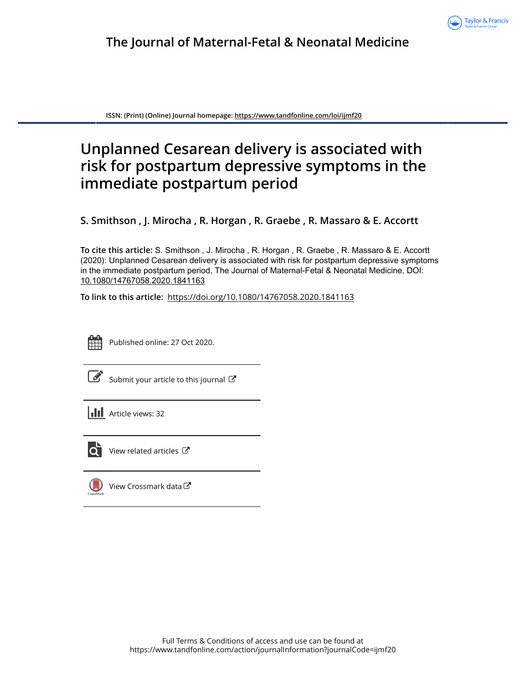

**ISSN: (Print) (Online) Journal homepage:<https://www.tandfonline.com/loi/ijmf20>**

# **Unplanned Cesarean delivery is associated with risk for postpartum depressive symptoms in the immediate postpartum period**

**S. Smithson , J. Mirocha , R. Horgan , R. Graebe , R. Massaro & E. Accortt**

**To cite this article:** S. Smithson , J. Mirocha , R. Horgan , R. Graebe , R. Massaro & E. Accortt (2020): Unplanned Cesarean delivery is associated with risk for postpartum depressive symptoms in the immediate postpartum period, The Journal of Maternal-Fetal & Neonatal Medicine, DOI: [10.1080/14767058.2020.1841163](https://www.tandfonline.com/action/showCitFormats?doi=10.1080/14767058.2020.1841163)

**To link to this article:** <https://doi.org/10.1080/14767058.2020.1841163>



Published online: 27 Oct 2020.

|--|

[Submit your article to this journal](https://www.tandfonline.com/action/authorSubmission?journalCode=ijmf20&show=instructions)  $\mathbb{Z}$ 





 $\overline{\text{O}}$  [View related articles](https://www.tandfonline.com/doi/mlt/10.1080/14767058.2020.1841163)  $\mathbb{C}^{\bullet}$ 



[View Crossmark data](http://crossmark.crossref.org/dialog/?doi=10.1080/14767058.2020.1841163&domain=pdf&date_stamp=2020-10-27)  $\sigma$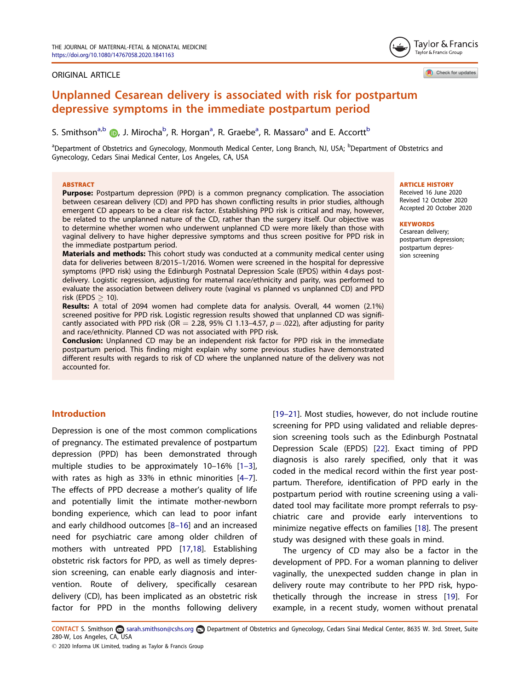#### <span id="page-1-0"></span>ORIGINAL ARTICLE

Tavlor & Francis Taylor & Francis Group

Check for updates

# Unplanned Cesarean delivery is associated with risk for postpartum depressive symptoms in the immediate postpartum period

# S. Smithson<sup>a[,](http://orcid.org/0000-0002-6962-4853)b</sup> (D, J. Mirocha<sup>b</sup>, R. Horgan<sup>a</sup>, R. Graebe<sup>a</sup>, R. Massaro<sup>a</sup> and E. Accortt<sup>b</sup>

<sup>a</sup>Department of Obstetrics and Gynecology, Monmouth Medical Center, Long Branch, NJ, USA; <sup>b</sup>Department of Obstetrics and Gynecology, Cedars Sinai Medical Center, Los Angeles, CA, USA

#### **ABSTRACT**

**Purpose:** Postpartum depression (PPD) is a common pregnancy complication. The association between cesarean delivery (CD) and PPD has shown conflicting results in prior studies, although emergent CD appears to be a clear risk factor. Establishing PPD risk is critical and may, however, be related to the unplanned nature of the CD, rather than the surgery itself. Our objective was to determine whether women who underwent unplanned CD were more likely than those with vaginal delivery to have higher depressive symptoms and thus screen positive for PPD risk in the immediate postpartum period.

Materials and methods: This cohort study was conducted at a community medical center using data for deliveries between 8/2015–1/2016. Women were screened in the hospital for depressive symptoms (PPD risk) using the Edinburgh Postnatal Depression Scale (EPDS) within 4 days postdelivery. Logistic regression, adjusting for maternal race/ethnicity and parity, was performed to evaluate the association between delivery route (vaginal vs planned vs unplanned CD) and PPD risk (EPDS  $\geq$  10).

Results: A total of 2094 women had complete data for analysis. Overall, 44 women (2.1%) screened positive for PPD risk. Logistic regression results showed that unplanned CD was significantly associated with PPD risk (OR = 2.28, 95% CI 1.13–4.57,  $p = .022$ ), after adjusting for parity and race/ethnicity. Planned CD was not associated with PPD risk.

**Conclusion:** Unplanned CD may be an independent risk factor for PPD risk in the immediate postpartum period. This finding might explain why some previous studies have demonstrated different results with regards to risk of CD where the unplanned nature of the delivery was not accounted for.

#### Introduction

Depression is one of the most common complications of pregnancy. The estimated prevalence of postpartum depression (PPD) has been demonstrated through multiple studies to be approximately 10–16% [1–[3\]](#page-5-0), with rates as high as 33% in ethnic minorities [4–[7\]](#page-6-0). The effects of PPD decrease a mother's quality of life and potentially limit the intimate mother-newborn bonding experience, which can lead to poor infant and early childhood outcomes [8–[16\]](#page-6-0) and an increased need for psychiatric care among older children of mothers with untreated PPD [\[17,18\]](#page-6-0). Establishing obstetric risk factors for PPD, as well as timely depression screening, can enable early diagnosis and intervention. Route of delivery, specifically cesarean delivery (CD), has been implicated as an obstetric risk factor for PPD in the months following delivery

Depression Scale (EPDS) [[22\]](#page-6-0). Exact timing of PPD diagnosis is also rarely specified, only that it was coded in the medical record within the first year postpartum. Therefore, identification of PPD early in the postpartum period with routine screening using a validated tool may facilitate more prompt referrals to psychiatric care and provide early interventions to minimize negative effects on families [\[18](#page-6-0)]. The present study was designed with these goals in mind. The urgency of CD may also be a factor in the

[19–[21](#page-6-0)]. Most studies, however, do not include routine screening for PPD using validated and reliable depression screening tools such as the Edinburgh Postnatal

development of PPD. For a woman planning to deliver vaginally, the unexpected sudden change in plan in delivery route may contribute to her PPD risk, hypothetically through the increase in stress [\[19\]](#page-6-0). For example, in a recent study, women without prenatal

CONTACT S. Smithson a sarah.smithson@cshs.org Department of Obstetrics and Gynecology, Cedars Sinai Medical Center, 8635 W. 3rd. Street, Suite 280-W, Los Angeles, CA, USA

## ARTICLE HISTORY

Received 16 June 2020 Revised 12 October 2020 Accepted 20 October 2020

#### **KEYWORDS**

Cesarean delivery; postpartum depression; postpartum depression screening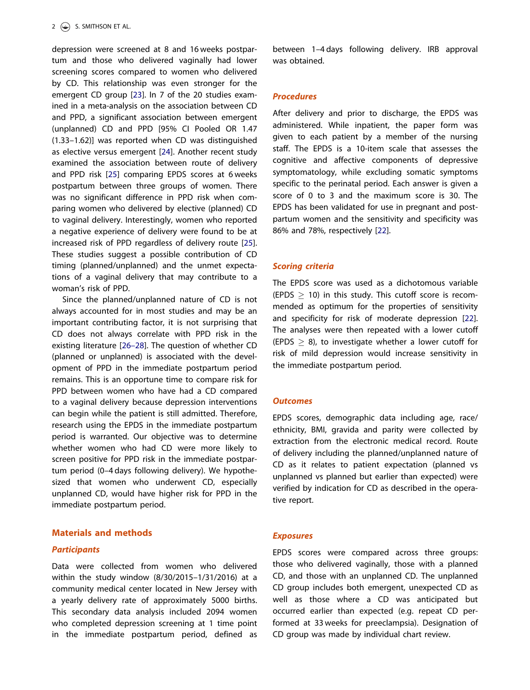<span id="page-2-0"></span>depression were screened at 8 and 16 weeks postpartum and those who delivered vaginally had lower screening scores compared to women who delivered by CD. This relationship was even stronger for the emergent CD group [\[23](#page-6-0)]. In 7 of the 20 studies examined in a meta-analysis on the association between CD and PPD, a significant association between emergent (unplanned) CD and PPD [95% CI Pooled OR 1.47 (1.33–1.62)] was reported when CD was distinguished as elective versus emergent [[24\]](#page-6-0). Another recent study examined the association between route of delivery and PPD risk [\[25\]](#page-6-0) comparing EPDS scores at 6 weeks postpartum between three groups of women. There was no significant difference in PPD risk when comparing women who delivered by elective (planned) CD to vaginal delivery. Interestingly, women who reported a negative experience of delivery were found to be at increased risk of PPD regardless of delivery route [[25\]](#page-6-0). These studies suggest a possible contribution of CD timing (planned/unplanned) and the unmet expectations of a vaginal delivery that may contribute to a woman's risk of PPD.

Since the planned/unplanned nature of CD is not always accounted for in most studies and may be an important contributing factor, it is not surprising that CD does not always correlate with PPD risk in the existing literature [\[26](#page-6-0)–28]. The question of whether CD (planned or unplanned) is associated with the development of PPD in the immediate postpartum period remains. This is an opportune time to compare risk for PPD between women who have had a CD compared to a vaginal delivery because depression interventions can begin while the patient is still admitted. Therefore, research using the EPDS in the immediate postpartum period is warranted. Our objective was to determine whether women who had CD were more likely to screen positive for PPD risk in the immediate postpartum period (0–4 days following delivery). We hypothesized that women who underwent CD, especially unplanned CD, would have higher risk for PPD in the immediate postpartum period.

# Materials and methods

#### **Participants**

Data were collected from women who delivered within the study window (8/30/2015–1/31/2016) at a community medical center located in New Jersey with a yearly delivery rate of approximately 5000 births. This secondary data analysis included 2094 women who completed depression screening at 1 time point in the immediate postpartum period, defined as

between 1–4 days following delivery. IRB approval was obtained.

# Procedures

After delivery and prior to discharge, the EPDS was administered. While inpatient, the paper form was given to each patient by a member of the nursing staff. The EPDS is a 10-item scale that assesses the cognitive and affective components of depressive symptomatology, while excluding somatic symptoms specific to the perinatal period. Each answer is given a score of 0 to 3 and the maximum score is 30. The EPDS has been validated for use in pregnant and postpartum women and the sensitivity and specificity was 86% and 78%, respectively [\[22\]](#page-6-0).

#### Scoring criteria

The EPDS score was used as a dichotomous variable (EPDS  $> 10$ ) in this study. This cutoff score is recommended as optimum for the properties of sensitivity and specificity for risk of moderate depression [[22\]](#page-6-0). The analyses were then repeated with a lower cutoff (EPDS  $\geq$  8), to investigate whether a lower cutoff for risk of mild depression would increase sensitivity in the immediate postpartum period.

## **Outcomes**

EPDS scores, demographic data including age, race/ ethnicity, BMI, gravida and parity were collected by extraction from the electronic medical record. Route of delivery including the planned/unplanned nature of CD as it relates to patient expectation (planned vs unplanned vs planned but earlier than expected) were verified by indication for CD as described in the operative report.

#### Exposures

EPDS scores were compared across three groups: those who delivered vaginally, those with a planned CD, and those with an unplanned CD. The unplanned CD group includes both emergent, unexpected CD as well as those where a CD was anticipated but occurred earlier than expected (e.g. repeat CD performed at 33 weeks for preeclampsia). Designation of CD group was made by individual chart review.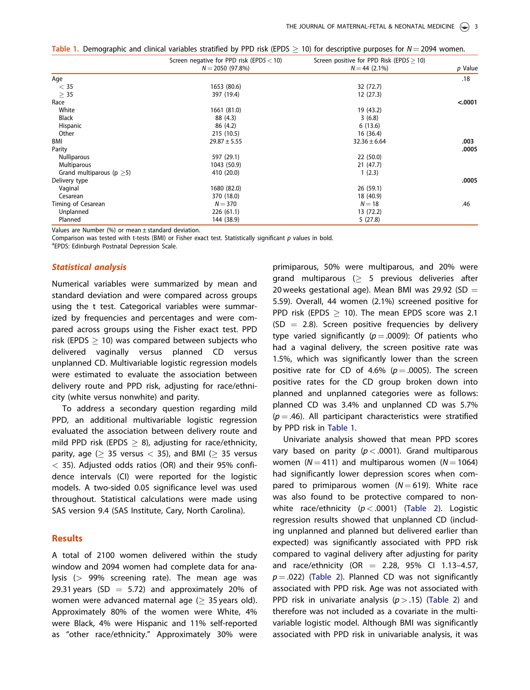|  |  | Table 1. Demographic and clinical variables stratified by PPD risk (EPDS $\geq$ 10) for descriptive purposes for $N = 2094$ women. |  |
|--|--|------------------------------------------------------------------------------------------------------------------------------------|--|
|  |  |                                                                                                                                    |  |

|                               | Screen negative for PPD risk (EPDS $<$ 10) | Screen positive for PPD Risk (EPDS $>$ 10) |         |
|-------------------------------|--------------------------------------------|--------------------------------------------|---------|
|                               | $N = 2050(97.8%)$                          | $N = 44$ (2.1%)                            | p Value |
| Age                           |                                            |                                            | .18     |
| $<$ 35                        | 1653 (80.6)                                | 32 (72.7)                                  |         |
| $\geq 35$                     | 397 (19.4)                                 | 12 (27.3)                                  |         |
| Race                          |                                            |                                            | < .0001 |
| White                         | 1661 (81.0)                                | 19 (43.2)                                  |         |
| <b>Black</b>                  | 88 (4.3)                                   | 3(6.8)                                     |         |
| Hispanic                      | 86 (4.2)                                   | 6(13.6)                                    |         |
| Other                         | 215 (10.5)                                 | 16(36.4)                                   |         |
| BMI                           | $29.87 \pm 5.55$                           | $32.36 \pm 6.64$                           | .003    |
| Parity                        |                                            |                                            | .0005   |
| <b>Nulliparous</b>            | 597 (29.1)                                 | 22(50.0)                                   |         |
| <b>Multiparous</b>            | 1043 (50.9)                                | 21(47.7)                                   |         |
| Grand multiparous ( $p > 5$ ) | 410 (20.0)                                 | 1(2.3)                                     |         |
| Delivery type                 |                                            |                                            | .0005   |
| Vaginal                       | 1680 (82.0)                                | 26 (59.1)                                  |         |
| Cesarean                      | 370 (18.0)                                 | 18 (40.9)                                  |         |
| Timing of Cesarean            | $N = 370$                                  | $N = 18$                                   | .46     |
| Unplanned                     | 226(61.1)                                  | 13 (72.2)                                  |         |
| Planned                       | 144 (38.9)                                 | 5(27.8)                                    |         |

Values are Number (%) or mean ± standard deviation.

Comparison was tested with t-tests (BMI) or Fisher exact test. Statistically significant  $p$  values in bold.

<sup>a</sup>EPDS: Edinburgh Postnatal Depression Scale.

# Statistical analysis

Numerical variables were summarized by mean and standard deviation and were compared across groups using the t test. Categorical variables were summarized by frequencies and percentages and were compared across groups using the Fisher exact test. PPD risk (EPDS  $\geq$  10) was compared between subjects who delivered vaginally versus planned CD versus unplanned CD. Multivariable logistic regression models were estimated to evaluate the association between delivery route and PPD risk, adjusting for race/ethnicity (white versus nonwhite) and parity.

To address a secondary question regarding mild PPD, an additional multivariable logistic regression evaluated the association between delivery route and mild PPD risk (EPDS  $> 8$ ), adjusting for race/ethnicity, parity, age ( $\geq$  35 versus < 35), and BMI ( $\geq$  35 versus  $<$  35). Adjusted odds ratios (OR) and their 95% confidence intervals (CI) were reported for the logistic models. A two-sided 0.05 significance level was used throughout. Statistical calculations were made using SAS version 9.4 (SAS Institute, Cary, North Carolina).

# **Results**

A total of 2100 women delivered within the study window and 2094 women had complete data for analysis (> 99% screening rate). The mean age was 29.31 years (SD  $=$  5.72) and approximately 20% of women were advanced maternal age  $($   $\geq$  35 years old). Approximately 80% of the women were White, 4% were Black, 4% were Hispanic and 11% self-reported as "other race/ethnicity." Approximately 30% were primiparous, 50% were multiparous, and 20% were grand multiparous  $( \geq 5$  previous deliveries after 20 weeks gestational age). Mean BMI was 29.92 (SD  $=$ 5.59). Overall, 44 women (2.1%) screened positive for PPD risk (EPDS  $\geq$  10). The mean EPDS score was 2.1  $(SD = 2.8)$ . Screen positive frequencies by delivery type varied significantly ( $p = .0009$ ): Of patients who had a vaginal delivery, the screen positive rate was 1.5%, which was significantly lower than the screen positive rate for CD of 4.6% ( $p = .0005$ ). The screen positive rates for the CD group broken down into planned and unplanned categories were as follows: planned CD was 3.4% and unplanned CD was 5.7%  $(p = .46)$ . All participant characteristics were stratified by PPD risk in Table 1.

Univariate analysis showed that mean PPD scores vary based on parity ( $p < .0001$ ). Grand multiparous women ( $N = 411$ ) and multiparous women ( $N = 1064$ ) had significantly lower depression scores when compared to primiparous women ( $N = 619$ ). White race was also found to be protective compared to nonwhite race/ethnicity  $(p < .0001)$  ([Table 2](#page-4-0)). Logistic regression results showed that unplanned CD (including unplanned and planned but delivered earlier than expected) was significantly associated with PPD risk compared to vaginal delivery after adjusting for parity and race/ethnicity (OR = 2.28, 95% CI 1.13-4.57,  $p = .022$ ) [\(Table 2](#page-4-0)). Planned CD was not significantly associated with PPD risk. Age was not associated with PPD risk in univariate analysis ( $p > 0.15$ ) [\(Table 2](#page-4-0)) and therefore was not included as a covariate in the multivariable logistic model. Although BMI was significantly associated with PPD risk in univariable analysis, it was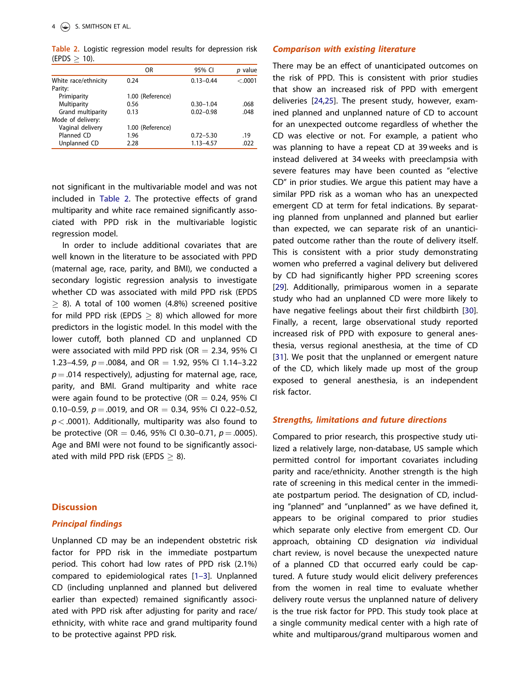<span id="page-4-0"></span>Table 2. Logistic regression model results for depression risk (EPDS  $\geq$  10).

|                      | OR               | 95% CI        | p value |
|----------------------|------------------|---------------|---------|
| White race/ethnicity | 0.24             | $0.13 - 0.44$ | < 0.001 |
| Parity:              |                  |               |         |
| Primiparity          | 1.00 (Reference) |               |         |
| Multiparity          | 0.56             | $0.30 - 1.04$ | .068    |
| Grand multiparity    | 0.13             | $0.02 - 0.98$ | .048    |
| Mode of delivery:    |                  |               |         |
| Vaginal delivery     | 1.00 (Reference) |               |         |
| Planned CD           | 1.96             | $0.72 - 5.30$ | .19     |
| Unplanned CD         | 2.28             | $1.13 - 4.57$ | .022    |

not significant in the multivariable model and was not included in Table 2. The protective effects of grand multiparity and white race remained significantly associated with PPD risk in the multivariable logistic regression model.

In order to include additional covariates that are well known in the literature to be associated with PPD (maternal age, race, parity, and BMI), we conducted a secondary logistic regression analysis to investigate whether CD was associated with mild PPD risk (EPDS  $\geq$  8). A total of 100 women (4.8%) screened positive for mild PPD risk (EPDS  $\geq$  8) which allowed for more predictors in the logistic model. In this model with the lower cutoff, both planned CD and unplanned CD were associated with mild PPD risk ( $OR = 2.34$ , 95% CI 1.23–4.59,  $p = 0.0084$ , and OR = 1.92, 95% CI 1.14–3.22  $p = .014$  respectively), adjusting for maternal age, race, parity, and BMI. Grand multiparity and white race were again found to be protective ( $OR = 0.24$ , 95% CI 0.10–0.59,  $p = .0019$ , and OR  $= 0.34$ , 95% CI 0.22–0.52,  $p < .0001$ ). Additionally, multiparity was also found to be protective (OR = 0.46, 95% CI 0.30-0.71,  $p = .0005$ ). Age and BMI were not found to be significantly associated with mild PPD risk (EPDS  $> 8$ ).

# **Discussion**

#### Principal findings

Unplanned CD may be an independent obstetric risk factor for PPD risk in the immediate postpartum period. This cohort had low rates of PPD risk (2.1%) compared to epidemiological rates [1–[3\]](#page-5-0). Unplanned CD (including unplanned and planned but delivered earlier than expected) remained significantly associated with PPD risk after adjusting for parity and race/ ethnicity, with white race and grand multiparity found to be protective against PPD risk.

# Comparison with existing literature

There may be an effect of unanticipated outcomes on the risk of PPD. This is consistent with prior studies that show an increased risk of PPD with emergent deliveries [\[24,25\]](#page-6-0). The present study, however, examined planned and unplanned nature of CD to account for an unexpected outcome regardless of whether the CD was elective or not. For example, a patient who was planning to have a repeat CD at 39 weeks and is instead delivered at 34 weeks with preeclampsia with severe features may have been counted as "elective CD" in prior studies. We argue this patient may have a similar PPD risk as a woman who has an unexpected emergent CD at term for fetal indications. By separating planned from unplanned and planned but earlier than expected, we can separate risk of an unanticipated outcome rather than the route of delivery itself. This is consistent with a prior study demonstrating women who preferred a vaginal delivery but delivered by CD had significantly higher PPD screening scores [[29\]](#page-6-0). Additionally, primiparous women in a separate study who had an unplanned CD were more likely to have negative feelings about their first childbirth [[30\]](#page-6-0). Finally, a recent, large observational study reported increased risk of PPD with exposure to general anesthesia, versus regional anesthesia, at the time of CD [[31\]](#page-6-0). We posit that the unplanned or emergent nature of the CD, which likely made up most of the group exposed to general anesthesia, is an independent risk factor.

## Strengths, limitations and future directions

Compared to prior research, this prospective study utilized a relatively large, non-database, US sample which permitted control for important covariates including parity and race/ethnicity. Another strength is the high rate of screening in this medical center in the immediate postpartum period. The designation of CD, including "planned" and "unplanned" as we have defined it, appears to be original compared to prior studies which separate only elective from emergent CD. Our approach, obtaining CD designation via individual chart review, is novel because the unexpected nature of a planned CD that occurred early could be captured. A future study would elicit delivery preferences from the women in real time to evaluate whether delivery route versus the unplanned nature of delivery is the true risk factor for PPD. This study took place at a single community medical center with a high rate of white and multiparous/grand multiparous women and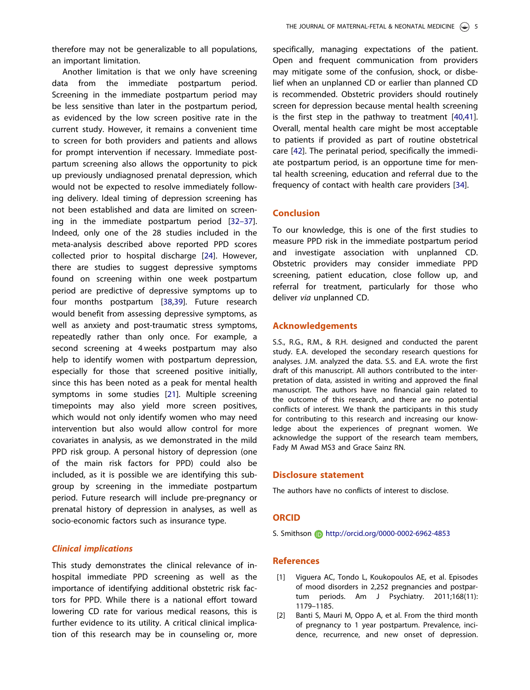<span id="page-5-0"></span>therefore may not be generalizable to all populations, an important limitation.

Another limitation is that we only have screening data from the immediate postpartum period. Screening in the immediate postpartum period may be less sensitive than later in the postpartum period, as evidenced by the low screen positive rate in the current study. However, it remains a convenient time to screen for both providers and patients and allows for prompt intervention if necessary. Immediate postpartum screening also allows the opportunity to pick up previously undiagnosed prenatal depression, which would not be expected to resolve immediately following delivery. Ideal timing of depression screening has not been established and data are limited on screening in the immediate postpartum period [\[32](#page-6-0)–37]. Indeed, only one of the 28 studies included in the meta-analysis described above reported PPD scores collected prior to hospital discharge [[24](#page-6-0)]. However, there are studies to suggest depressive symptoms found on screening within one week postpartum period are predictive of depressive symptoms up to four months postpartum [[38,39](#page-7-0)]. Future research would benefit from assessing depressive symptoms, as well as anxiety and post-traumatic stress symptoms, repeatedly rather than only once. For example, a second screening at 4 weeks postpartum may also help to identify women with postpartum depression, especially for those that screened positive initially, since this has been noted as a peak for mental health symptoms in some studies [\[21\]](#page-6-0). Multiple screening timepoints may also yield more screen positives, which would not only identify women who may need intervention but also would allow control for more covariates in analysis, as we demonstrated in the mild PPD risk group. A personal history of depression (one of the main risk factors for PPD) could also be included, as it is possible we are identifying this subgroup by screening in the immediate postpartum period. Future research will include pre-pregnancy or prenatal history of depression in analyses, as well as socio-economic factors such as insurance type.

## Clinical implications

This study demonstrates the clinical relevance of inhospital immediate PPD screening as well as the importance of identifying additional obstetric risk factors for PPD. While there is a national effort toward lowering CD rate for various medical reasons, this is further evidence to its utility. A critical clinical implication of this research may be in counseling or, more specifically, managing expectations of the patient. Open and frequent communication from providers may mitigate some of the confusion, shock, or disbelief when an unplanned CD or earlier than planned CD is recommended. Obstetric providers should routinely screen for depression because mental health screening is the first step in the pathway to treatment [\[40](#page-7-0),[41\]](#page-7-0). Overall, mental health care might be most acceptable to patients if provided as part of routine obstetrical care [\[42\]](#page-7-0). The perinatal period, specifically the immediate postpartum period, is an opportune time for mental health screening, education and referral due to the frequency of contact with health care providers [\[34](#page-6-0)].

# Conclusion

To our knowledge, this is one of the first studies to measure PPD risk in the immediate postpartum period and investigate association with unplanned CD. Obstetric providers may consider immediate PPD screening, patient education, close follow up, and referral for treatment, particularly for those who deliver via unplanned CD.

#### Acknowledgements

S.S., R.G., R.M., & R.H. designed and conducted the parent study. E.A. developed the secondary research questions for analyses. J.M. analyzed the data. S.S. and E.A. wrote the first draft of this manuscript. All authors contributed to the interpretation of data, assisted in writing and approved the final manuscript. The authors have no financial gain related to the outcome of this research, and there are no potential conflicts of interest. We thank the participants in this study for contributing to this research and increasing our knowledge about the experiences of pregnant women. We acknowledge the support of the research team members, Fady M Awad MS3 and Grace Sainz RN.

# Disclosure statement

The authors have no conflicts of interest to disclose.

#### **ORCID**

S. Smithson **b** http://orcid.org/0000-0002-6962-4853

#### References

- [\[1\]](#page-1-0) Viguera AC, Tondo L, Koukopoulos AE, et al. Episodes of mood disorders in 2,252 pregnancies and postpartum periods. Am J Psychiatry. 2011;168(11): 1179–1185.
- [2] Banti S, Mauri M, Oppo A, et al. From the third month of pregnancy to 1 year postpartum. Prevalence, incidence, recurrence, and new onset of depression.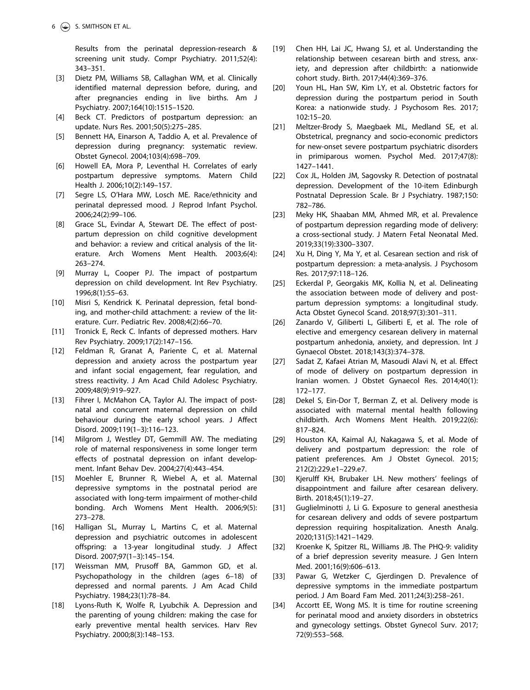<span id="page-6-0"></span>Results from the perinatal depression-research & screening unit study. Compr Psychiatry. 2011;52(4): 343–351.

- [3] Dietz PM, Williams SB, Callaghan WM, et al. Clinically identified maternal depression before, during, and after pregnancies ending in live births. Am J Psychiatry. 2007;164(10):1515–1520.
- [\[4\]](#page-1-0) Beck CT. Predictors of postpartum depression: an update. Nurs Res. 2001;50(5):275–285.
- [5] Bennett HA, Einarson A, Taddio A, et al. Prevalence of depression during pregnancy: systematic review. Obstet Gynecol. 2004;103(4):698–709.
- [6] Howell EA, Mora P, Leventhal H. Correlates of early postpartum depressive symptoms. Matern Child Health J. 2006;10(2):149–157.
- [7] Segre LS, O'Hara MW, Losch ME. Race/ethnicity and perinatal depressed mood. J Reprod Infant Psychol. 2006;24(2):99–106.
- [\[8\]](#page-1-0) Grace SL, Evindar A, Stewart DE. The effect of postpartum depression on child cognitive development and behavior: a review and critical analysis of the literature. Arch Womens Ment Health. 2003;6(4): 263–274.
- [9] Murray L, Cooper PJ. The impact of postpartum depression on child development. Int Rev Psychiatry. 1996;8(1):55–63.
- [10] Misri S, Kendrick K. Perinatal depression, fetal bonding, and mother-child attachment: a review of the literature. Curr. Pediatric Rev. 2008;4(2):66–70.
- [11] Tronick E, Reck C. Infants of depressed mothers. Harv Rev Psychiatry. 2009;17(2):147–156.
- [12] Feldman R, Granat A, Pariente C, et al. Maternal depression and anxiety across the postpartum year and infant social engagement, fear regulation, and stress reactivity. J Am Acad Child Adolesc Psychiatry. 2009;48(9):919–927.
- [13] Fihrer I, McMahon CA, Taylor AJ. The impact of postnatal and concurrent maternal depression on child behaviour during the early school years. J Affect Disord. 2009;119(1–3):116–123.
- [14] Milgrom J, Westley DT, Gemmill AW. The mediating role of maternal responsiveness in some longer term effects of postnatal depression on infant development. Infant Behav Dev. 2004;27(4):443–454.
- [15] Moehler E, Brunner R, Wiebel A, et al. Maternal depressive symptoms in the postnatal period are associated with long-term impairment of mother-child bonding. Arch Womens Ment Health. 2006;9(5): 273–278.
- [16] Halligan SL, Murray L, Martins C, et al. Maternal depression and psychiatric outcomes in adolescent offspring: a 13-year longitudinal study. J Affect Disord. 2007;97(1–3):145–154.
- [\[17\]](#page-1-0) Weissman MM, Prusoff BA, Gammon GD, et al. Psychopathology in the children (ages 6–18) of depressed and normal parents. J Am Acad Child Psychiatry. 1984;23(1):78–84.
- [\[18\]](#page-1-0) Lyons-Ruth K, Wolfe R, Lyubchik A. Depression and the parenting of young children: making the case for early preventive mental health services. Harv Rev Psychiatry. 2000;8(3):148–153.
- [\[19\]](#page-1-0) Chen HH, Lai JC, Hwang SJ, et al. Understanding the relationship between cesarean birth and stress, anxiety, and depression after childbirth: a nationwide cohort study. Birth. 2017;44(4):369–376.
- [20] Youn HL, Han SW, Kim LY, et al. Obstetric factors for depression during the postpartum period in South Korea: a nationwide study. J Psychosom Res. 2017; 102:15–20.
- [\[21\]](#page-5-0) Meltzer-Brody S, Maegbaek ML, Medland SE, et al. Obstetrical, pregnancy and socio-economic predictors for new-onset severe postpartum psychiatric disorders in primiparous women. Psychol Med. 2017;47(8): 1427–1441.
- [\[22\]](#page-1-0) Cox JL, Holden JM, Sagovsky R. Detection of postnatal depression. Development of the 10-item Edinburgh Postnatal Depression Scale. Br J Psychiatry. 1987;150: 782–786.
- [\[23\]](#page-2-0) Meky HK, Shaaban MM, Ahmed MR, et al. Prevalence of postpartum depression regarding mode of delivery: a cross-sectional study. J Matern Fetal Neonatal Med. 2019;33(19):3300–3307.
- [\[24\]](#page-2-0) Xu H, Ding Y, Ma Y, et al. Cesarean section and risk of postpartum depression: a meta-analysis. J Psychosom Res. 2017;97:118–126.
- [\[25\]](#page-2-0) Eckerdal P, Georgakis MK, Kollia N, et al. Delineating the association between mode of delivery and postpartum depression symptoms: a longitudinal study. Acta Obstet Gynecol Scand. 2018;97(3):301–311.
- [\[26\]](#page-2-0) Zanardo V, Giliberti L, Giliberti E, et al. The role of elective and emergency cesarean delivery in maternal postpartum anhedonia, anxiety, and depression. Int J Gynaecol Obstet. 2018;143(3):374–378.
- [27] Sadat Z, Kafaei Atrian M, Masoudi Alavi N, et al. Effect of mode of delivery on postpartum depression in Iranian women. J Obstet Gynaecol Res. 2014;40(1): 172–177.
- [28] Dekel S, Ein-Dor T, Berman Z, et al. Delivery mode is associated with maternal mental health following childbirth. Arch Womens Ment Health. 2019;22(6): 817–824.
- [\[29\]](#page-4-0) Houston KA, Kaimal AJ, Nakagawa S, et al. Mode of delivery and postpartum depression: the role of patient preferences. Am J Obstet Gynecol. 2015; 212(2):229.e1–229.e7.
- [\[30\]](#page-4-0) Kjerulff KH, Brubaker LH. New mothers' feelings of disappointment and failure after cesarean delivery. Birth. 2018;45(1):19–27.
- [\[31\]](#page-4-0) Guglielminotti J, Li G. Exposure to general anesthesia for cesarean delivery and odds of severe postpartum depression requiring hospitalization. Anesth Analg. 2020;131(5):1421–1429.
- [\[32\]](#page-5-0) Kroenke K, Spitzer RL, Williams JB. The PHQ-9: validity of a brief depression severity measure. J Gen Intern Med. 2001;16(9):606–613.
- [33] Pawar G, Wetzker C, Gjerdingen D. Prevalence of depressive symptoms in the immediate postpartum period. J Am Board Fam Med. 2011;24(3):258–261.
- [\[34\]](#page-5-0) Accortt EE, Wong MS. It is time for routine screening for perinatal mood and anxiety disorders in obstetrics and gynecology settings. Obstet Gynecol Surv. 2017; 72(9):553–568.